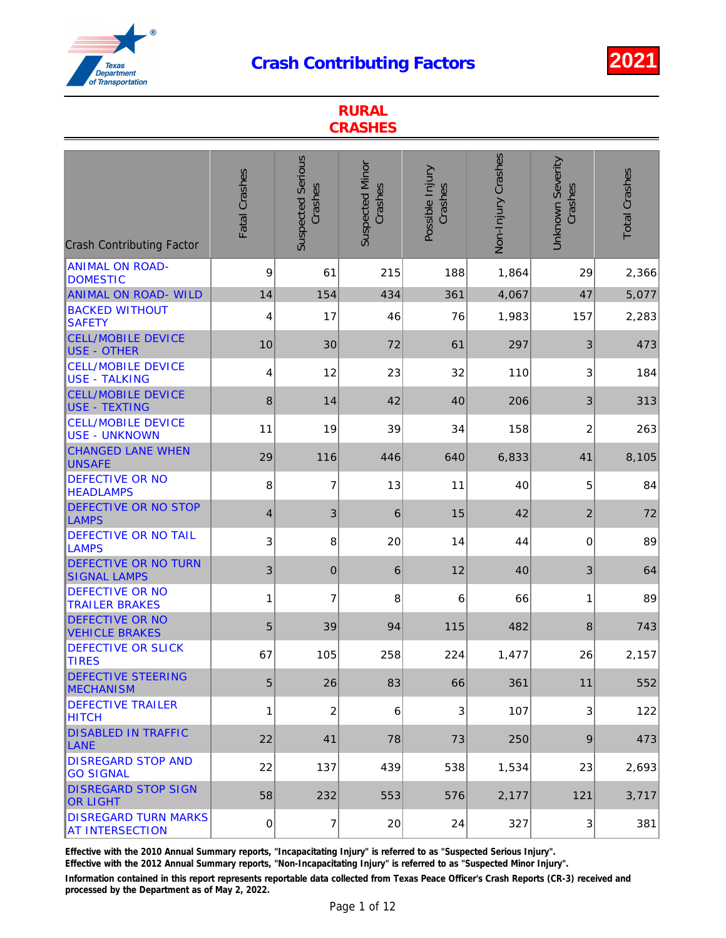

| <b>RURAL</b><br><b>CRASHES</b>                        |                |                                     |                                   |                            |                    |                             |                      |  |  |
|-------------------------------------------------------|----------------|-------------------------------------|-----------------------------------|----------------------------|--------------------|-----------------------------|----------------------|--|--|
| <b>Crash Contributing Factor</b>                      | Fatal Crashes  | <b>Suspected Serious</b><br>Crashes | <b>Suspected Minor</b><br>Crashes | Possible Injury<br>Crashes | Non-Injury Crashes | Unknown Severity<br>Crashes | <b>Total Crashes</b> |  |  |
| <b>ANIMAL ON ROAD-</b><br><b>DOMESTIC</b>             | 9              | 61                                  | 215                               | 188                        | 1,864              | 29                          | 2,366                |  |  |
| <b>ANIMAL ON ROAD- WILD</b>                           | 14             | 154                                 | 434                               | 361                        | 4,067              | 47                          | 5,077                |  |  |
| <b>BACKED WITHOUT</b><br><b>SAFETY</b>                | 4              | 17                                  | 46                                | 76                         | 1,983              | 157                         | 2,283                |  |  |
| <b>CELL/MOBILE DEVICE</b><br><b>USE - OTHER</b>       | 10             | 30                                  | 72                                | 61                         | 297                | 3                           | 473                  |  |  |
| <b>CELL/MOBILE DEVICE</b><br><b>USE - TALKING</b>     | 4              | 12                                  | 23                                | 32                         | 110                | 3                           | 184                  |  |  |
| <b>CELL/MOBILE DEVICE</b><br><b>USE - TEXTING</b>     | 8              | 14                                  | 42                                | 40                         | 206                | 3                           | 313                  |  |  |
| <b>CELL/MOBILE DEVICE</b><br>USE - UNKNOWN            | 11             | 19                                  | 39                                | 34                         | 158                | $\overline{c}$              | 263                  |  |  |
| <b>CHANGED LANE WHEN</b><br><b>UNSAFE</b>             | 29             | 116                                 | 446                               | 640                        | 6,833              | 41                          | 8,105                |  |  |
| <b>DEFECTIVE OR NO</b><br><b>HEADLAMPS</b>            | 8              | $\overline{7}$                      | 13                                | 11                         | 40                 | 5                           | 84                   |  |  |
| <b>DEFECTIVE OR NO STOP</b><br><b>LAMPS</b>           | $\overline{4}$ | 3                                   | 6                                 | 15                         | 42                 | $\overline{2}$              | 72                   |  |  |
| <b>DEFECTIVE OR NO TAIL</b><br><b>LAMPS</b>           | 3              | 8                                   | 20                                | 14                         | 44                 | 0                           | 89                   |  |  |
| <b>DEFECTIVE OR NO TURN</b><br><b>SIGNAL LAMPS</b>    | 3              | $\mathbf 0$                         | 6                                 | 12                         | 40                 | 3                           | 64                   |  |  |
| <b>DEFECTIVE OR NO</b><br><b>TRAILER BRAKES</b>       | 1              | $\overline{7}$                      | 8                                 | 6                          | 66                 | 1                           | 89                   |  |  |
| <b>DEFECTIVE OR NO</b><br>VEHICLE BRAKES              | 5              | 39                                  | 94                                | 115                        | 482                | 8                           | 743                  |  |  |
| <b>DEFECTIVE OR SLICK</b><br><b>TIRES</b>             | 67             | 105                                 | 258                               | 224                        | 1,477              | 26                          | 2,157                |  |  |
| <b>DEFECTIVE STEERING</b><br><b>MECHANISM</b>         | 5              | 26                                  | 83                                | 66                         | 361                | 11                          | 552                  |  |  |
| <b>DEFECTIVE TRAILER</b><br><b>IHITCH</b>             | 1              | $\overline{c}$                      | 6                                 | 3                          | 107                | 3                           | 122                  |  |  |
| <b>DISABLED IN TRAFFIC</b><br><b>LANE</b>             | 22             | 41                                  | 78                                | 73                         | 250                | 9                           | 473                  |  |  |
| <b>DISREGARD STOP AND</b><br><b>GO SIGNAL</b>         | 22             | 137                                 | 439                               | 538                        | 1,534              | 23                          | 2,693                |  |  |
| <b>DISREGARD STOP SIGN</b><br><b>OR LIGHT</b>         | 58             | 232                                 | 553                               | 576                        | 2,177              | 121                         | 3,717                |  |  |
| <b>DISREGARD TURN MARKS</b><br><b>AT INTERSECTION</b> | $\mathbf 0$    | $\overline{7}$                      | 20                                | 24                         | 327                | 3                           | 381                  |  |  |

Effective with the 2010 Annual Summary reports, "Incapacitating Injury" is referred to as "Suspected Serious Injury".

Effective with the 2012 Annual Summary reports, "Non-Incapacitating Injury" is referred to as "Suspected Minor Injury".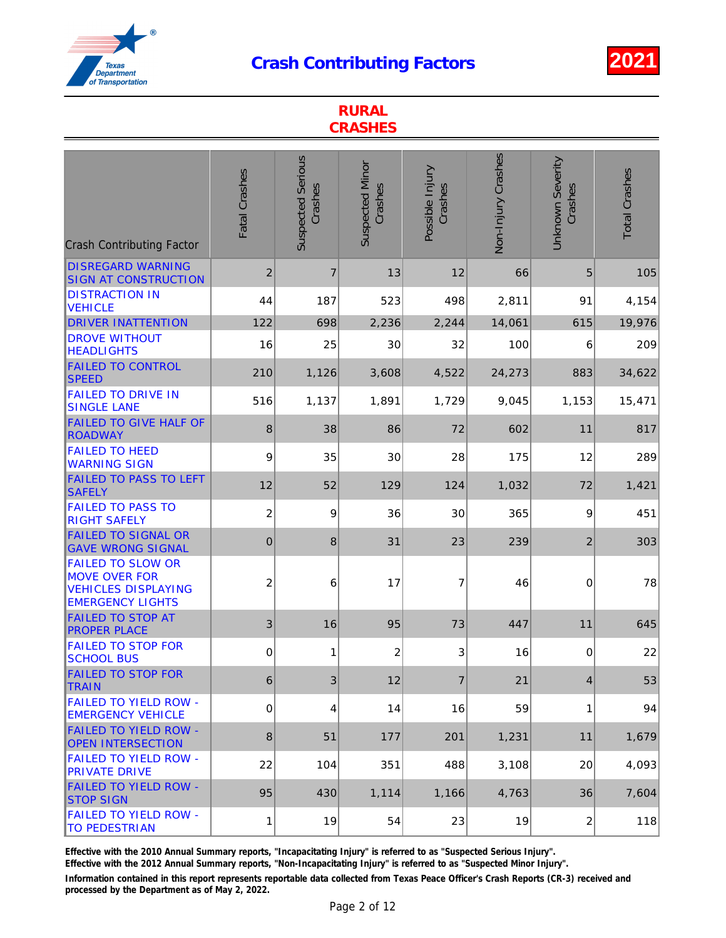

| <b>RURAL</b><br><b>CRASHES</b>                                                                            |                  |                                     |                                   |                            |                    |                             |                      |  |  |
|-----------------------------------------------------------------------------------------------------------|------------------|-------------------------------------|-----------------------------------|----------------------------|--------------------|-----------------------------|----------------------|--|--|
| <b>Crash Contributing Factor</b>                                                                          | Fatal Crashes    | <b>Suspected Serious</b><br>Crashes | <b>Suspected Minor</b><br>Crashes | Possible Injury<br>Crashes | Non-Injury Crashes | Unknown Severity<br>Crashes | <b>Total Crashes</b> |  |  |
| <b>DISREGARD WARNING</b><br><b>SIGN AT CONSTRUCTION</b>                                                   | $\overline{2}$   | $\overline{7}$                      | 13                                | 12                         | 66                 | 5                           | 105                  |  |  |
| <b>DISTRACTION IN</b><br><b>VEHICLE</b>                                                                   | 44               | 187                                 | 523                               | 498                        | 2,811              | 91                          | 4,154                |  |  |
| <b>DRIVER INATTENTION</b>                                                                                 | 122              | 698                                 | 2,236                             | 2,244                      | 14,061             | 615                         | 19,976               |  |  |
| <b>DROVE WITHOUT</b><br><b>HEADLIGHTS</b>                                                                 | 16               | 25                                  | 30                                | 32                         | 100                | 6                           | 209                  |  |  |
| <b>FAILED TO CONTROL</b><br><b>SPEED</b>                                                                  | 210              | 1,126                               | 3,608                             | 4,522                      | 24,273             | 883                         | 34,622               |  |  |
| <b>FAILED TO DRIVE IN</b><br><b>SINGLE LANE</b>                                                           | 516              | 1,137                               | 1,891                             | 1,729                      | 9,045              | 1,153                       | 15,471               |  |  |
| <b>FAILED TO GIVE HALF OF</b><br>ROADWAY                                                                  | 8                | 38                                  | 86                                | 72                         | 602                | 11                          | 817                  |  |  |
| <b>FAILED TO HEED</b><br><b>WARNING SIGN</b>                                                              | 9                | 35                                  | 30                                | 28                         | 175                | 12                          | 289                  |  |  |
| <b>FAILED TO PASS TO LEFT</b><br><b>SAFELY</b>                                                            | 12               | 52                                  | 129                               | 124                        | 1,032              | 72                          | 1,421                |  |  |
| <b>FAILED TO PASS TO</b><br><b>RIGHT SAFELY</b>                                                           | $\overline{c}$   | 9                                   | 36                                | 30                         | 365                | 9                           | 451                  |  |  |
| <b>FAILED TO SIGNAL OR</b><br><b>GAVE WRONG SIGNAL</b>                                                    | $\boldsymbol{0}$ | 8                                   | 31                                | 23                         | 239                | $\overline{2}$              | 303                  |  |  |
| <b>FAILED TO SLOW OR</b><br><b>MOVE OVER FOR</b><br><b>VEHICLES DISPLAYING</b><br><b>EMERGENCY LIGHTS</b> | 2                | 6                                   | 17                                | 7                          | 46                 | 0                           | 78                   |  |  |
| <b>FAILED TO STOP AT</b><br><b>PROPER PLACE</b>                                                           | 3                | 16                                  | 95                                | 73                         | 447                | 11                          | 645                  |  |  |
| <b>FAILED TO STOP FOR</b><br><b>SCHOOL BUS</b>                                                            | 0                | 1                                   | $\overline{2}$                    | 3                          | 16                 | $\mathbf 0$                 | 22                   |  |  |
| <b>FAILED TO STOP FOR</b><br><b>TRAIN</b>                                                                 | 6                | 3                                   | 12                                | $\overline{7}$             | 21                 | $\overline{4}$              | 53                   |  |  |
| <b>FAILED TO YIELD ROW -</b><br><b>EMERGENCY VEHICLE</b>                                                  | 0                | 4                                   | 14                                | 16                         | 59                 | 1                           | 94                   |  |  |
| <b>FAILED TO YIELD ROW -</b><br><b>OPEN INTERSECTION</b>                                                  | 8                | 51                                  | 177                               | 201                        | 1,231              | 11                          | 1,679                |  |  |
| <b>FAILED TO YIELD ROW -</b><br><b>PRIVATE DRIVE</b>                                                      | 22               | 104                                 | 351                               | 488                        | 3,108              | 20                          | 4,093                |  |  |
| <b>FAILED TO YIELD ROW -</b><br><b>STOP SIGN</b>                                                          | 95               | 430                                 | 1,114                             | 1,166                      | 4,763              | 36                          | 7,604                |  |  |
| <b>FAILED TO YIELD ROW -</b><br><b>TO PEDESTRIAN</b>                                                      | 1                | 19                                  | 54                                | 23                         | 19                 | $\boldsymbol{2}$            | 118                  |  |  |

Effective with the 2010 Annual Summary reports, "Incapacitating Injury" is referred to as "Suspected Serious Injury".

Effective with the 2012 Annual Summary reports, "Non-Incapacitating Injury" is referred to as "Suspected Minor Injury".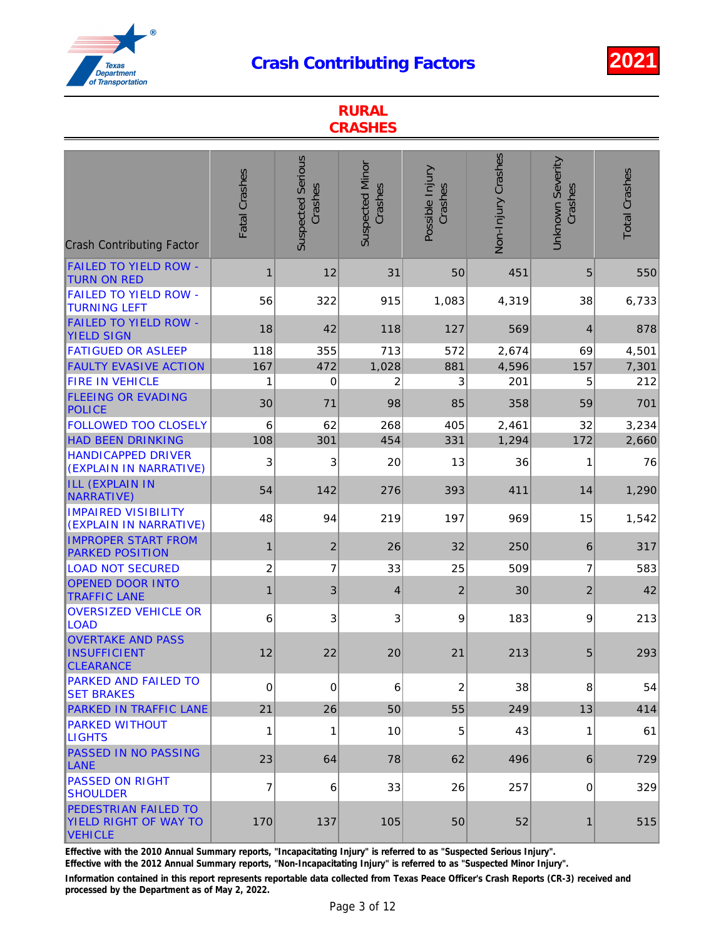

| <b>RURAL</b><br><b>CRASHES</b>                                         |                         |                                     |                                   |                            |                    |                             |                      |  |  |
|------------------------------------------------------------------------|-------------------------|-------------------------------------|-----------------------------------|----------------------------|--------------------|-----------------------------|----------------------|--|--|
| <b>Crash Contributing Factor</b>                                       | Fatal Crashes           | <b>Suspected Serious</b><br>Crashes | <b>Suspected Minor</b><br>Crashes | Possible Injury<br>Crashes | Non-Injury Crashes | Unknown Severity<br>Crashes | <b>Total Crashes</b> |  |  |
| <b>FAILED TO YIELD ROW -</b><br><b>TURN ON RED</b>                     | 1                       | 12                                  | 31                                | 50                         | 451                | 5                           | 550                  |  |  |
| <b>FAILED TO YIELD ROW -</b><br><b>TURNING LEFT</b>                    | 56                      | 322                                 | 915                               | 1,083                      | 4,319              | 38                          | 6,733                |  |  |
| <b>FAILED TO YIELD ROW -</b><br><b>YIELD SIGN</b>                      | 18                      | 42                                  | 118                               | 127                        | 569                | $\overline{4}$              | 878                  |  |  |
| <b>FATIGUED OR ASLEEP</b>                                              | 118                     | 355                                 | 713                               | 572                        | 2,674              | 69                          | 4,501                |  |  |
| <b>FAULTY EVASIVE ACTION</b><br><b>FIRE IN VEHICLE</b>                 | 167<br>1                | 472<br>$\mathbf 0$                  | 1,028                             | 881                        | 4,596<br>201       | 157<br>5                    | 7,301                |  |  |
| <b>FLEEING OR EVADING</b><br><b>POLICE</b>                             | 30                      | 71                                  | 2<br>98                           | 3<br>85                    | 358                | 59                          | 212<br>701           |  |  |
| <b>FOLLOWED TOO CLOSELY</b>                                            | 6                       | 62                                  | 268                               | 405                        | 2,461              | 32                          | 3,234                |  |  |
| <b>HAD BEEN DRINKING</b>                                               | 108                     | 301                                 | 454                               | 331                        | 1,294              | 172                         | 2,660                |  |  |
| <b>HANDICAPPED DRIVER</b><br>(EXPLAIN IN NARRATIVE)                    | 3                       | 3                                   | 20                                | 13                         | 36                 | 1                           | 76                   |  |  |
| <b>ILL (EXPLAIN IN</b><br>NARRATIVE)                                   | 54                      | 142                                 | 276                               | 393                        | 411                | 14                          | 1,290                |  |  |
| <b>IMPAIRED VISIBILITY</b><br>(EXPLAIN IN NARRATIVE)                   | 48                      | 94                                  | 219                               | 197                        | 969                | 15                          | 1,542                |  |  |
| <b>IMPROPER START FROM</b><br><b>PARKED POSITION</b>                   | 1                       | $\overline{2}$                      | 26                                | 32                         | 250                | 6                           | 317                  |  |  |
| <b>LOAD NOT SECURED</b>                                                | $\overline{\mathbf{c}}$ | $\overline{7}$                      | 33                                | 25                         | 509                | 7                           | 583                  |  |  |
| <b>OPENED DOOR INTO</b><br><b>TRAFFIC LANE</b>                         | 1                       | 3                                   | $\overline{4}$                    | $\overline{2}$             | 30                 | $\overline{2}$              | 42                   |  |  |
| <b>OVERSIZED VEHICLE OR</b><br><b>LOAD</b>                             | 6                       | 3                                   | 3                                 | 9                          | 183                | 9                           | 213                  |  |  |
| <b>OVERTAKE AND PASS</b><br><b>INSUFFICIENT</b><br><b>CLEARANCE</b>    | 12                      | 22                                  | 20                                | 21                         | 213                | 5                           | 293                  |  |  |
| <b>PARKED AND FAILED TO</b><br><b>SET BRAKES</b>                       | $\mathbf 0$             | 0                                   | 6                                 | 2                          | 38                 | 8                           | 54                   |  |  |
| <b>PARKED IN TRAFFIC LANE</b>                                          | 21                      | 26                                  | 50                                | 55                         | 249                | 13                          | 414                  |  |  |
| <b>PARKED WITHOUT</b><br><b>LIGHTS</b>                                 | 1                       | 1                                   | 10                                | 5                          | 43                 | 1                           | 61                   |  |  |
| <b>PASSED IN NO PASSING</b><br>LANE                                    | 23                      | 64                                  | 78                                | 62                         | 496                | 6                           | 729                  |  |  |
| <b>PASSED ON RIGHT</b><br><b>SHOULDER</b>                              | 7                       | 6                                   | 33                                | 26                         | 257                | 0                           | 329                  |  |  |
| <b>PEDESTRIAN FAILED TO</b><br>YIELD RIGHT OF WAY TO<br><b>VEHICLE</b> | 170                     | 137                                 | 105                               | 50                         | 52                 | $\mathbf 1$                 | 515                  |  |  |

Effective with the 2010 Annual Summary reports, "Incapacitating Injury" is referred to as "Suspected Serious Injury".

Effective with the 2012 Annual Summary reports, "Non-Incapacitating Injury" is referred to as "Suspected Minor Injury".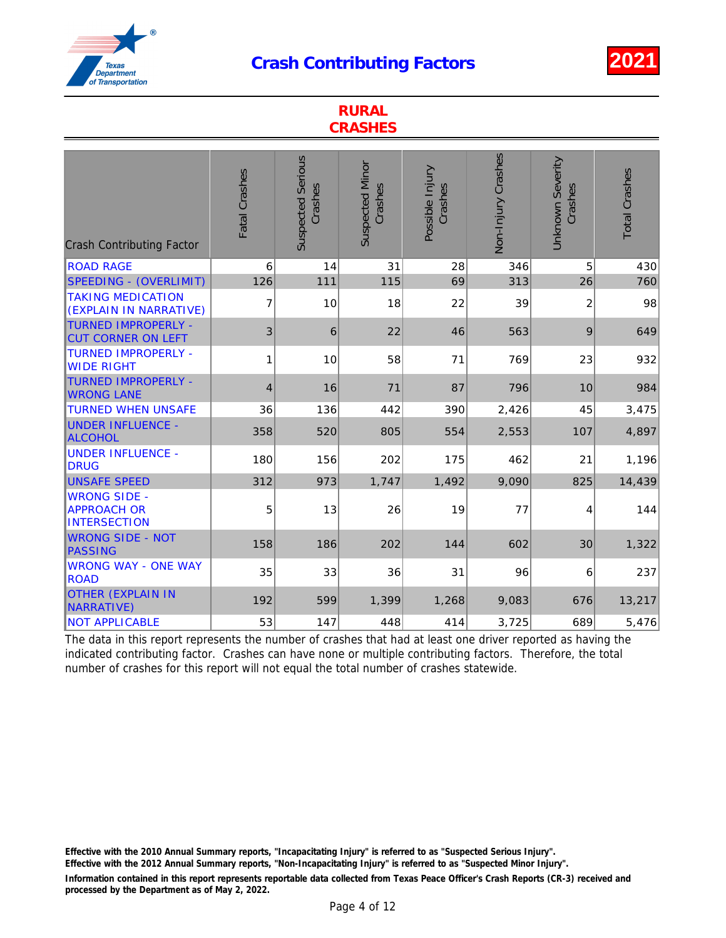RURAL



|                                                                  | NUNAL<br><b>CRASHES</b> |                                     |                                   |                            |                    |                                    |                      |  |  |
|------------------------------------------------------------------|-------------------------|-------------------------------------|-----------------------------------|----------------------------|--------------------|------------------------------------|----------------------|--|--|
| <b>Crash Contributing Factor</b>                                 | Fatal Crashes           | <b>Suspected Serious</b><br>Crashes | <b>Suspected Minor</b><br>Crashes | Possible Injury<br>Crashes | Non-Injury Crashes | <b>Unknown Severity</b><br>Crashes | <b>Total Crashes</b> |  |  |
| <b>ROAD RAGE</b>                                                 | 6                       | 14                                  | 31                                | 28                         | 346                | 5                                  | 430                  |  |  |
| <b>SPEEDING - (OVERLIMIT)</b>                                    | 126                     | 111                                 | 115                               | 69                         | 313                | 26                                 | 760                  |  |  |
| <b>TAKING MEDICATION</b><br>(EXPLAIN IN NARRATIVE)               | $\overline{7}$          | 10                                  | 18                                | 22                         | 39                 | $\overline{c}$                     | 98                   |  |  |
| <b>TURNED IMPROPERLY -</b><br><b>CUT CORNER ON LEFT</b>          | 3                       | 6                                   | 22                                | 46                         | 563                | 9                                  | 649                  |  |  |
| <b>TURNED IMPROPERLY -</b><br><b>WIDE RIGHT</b>                  | 1                       | 10                                  | 58                                | 71                         | 769                | 23                                 | 932                  |  |  |
| <b>TURNED IMPROPERLY -</b><br><b>WRONG LANE</b>                  | 4                       | 16                                  | 71                                | 87                         | 796                | 10                                 | 984                  |  |  |
| <b>TURNED WHEN UNSAFE</b>                                        | 36                      | 136                                 | 442                               | 390                        | 2,426              | 45                                 | 3,475                |  |  |
| <b>UNDER INFLUENCE -</b><br><b>ALCOHOL</b>                       | 358                     | 520                                 | 805                               | 554                        | 2,553              | 107                                | 4,897                |  |  |
| <b>UNDER INFLUENCE -</b><br><b>DRUG</b>                          | 180                     | 156                                 | 202                               | 175                        | 462                | 21                                 | 1,196                |  |  |
| <b>UNSAFE SPEED</b>                                              | 312                     | 973                                 | 1,747                             | 1,492                      | 9,090              | 825                                | 14,439               |  |  |
| <b>WRONG SIDE -</b><br><b>APPROACH OR</b><br><b>INTERSECTION</b> | 5                       | 13                                  | 26                                | 19                         | 77                 | 4                                  | 144                  |  |  |
| <b>WRONG SIDE - NOT</b><br><b>PASSING</b>                        | 158                     | 186                                 | 202                               | 144                        | 602                | 30                                 | 1,322                |  |  |
| <b>WRONG WAY - ONE WAY</b><br><b>ROAD</b>                        | 35                      | 33                                  | 36                                | 31                         | 96                 | $\,6$                              | 237                  |  |  |
| <b>OTHER (EXPLAIN IN</b><br><b>NARRATIVE)</b>                    | 192                     | 599                                 | 1,399                             | 1,268                      | 9,083              | 676                                | 13,217               |  |  |
| <b>NOT APPLICABLE</b>                                            | 53                      | 147                                 | 448                               | 414                        | 3,725              | 689                                | 5,476                |  |  |

The data in this report represents the number of crashes that had at least one driver reported as having the indicated contributing factor. Crashes can have none or multiple contributing factors. Therefore, the total number of crashes for this report will not equal the total number of crashes statewide.

Effective with the 2010 Annual Summary reports, "Incapacitating Injury" is referred to as "Suspected Serious Injury".

Effective with the 2012 Annual Summary reports, "Non-Incapacitating Injury" is referred to as "Suspected Minor Injury".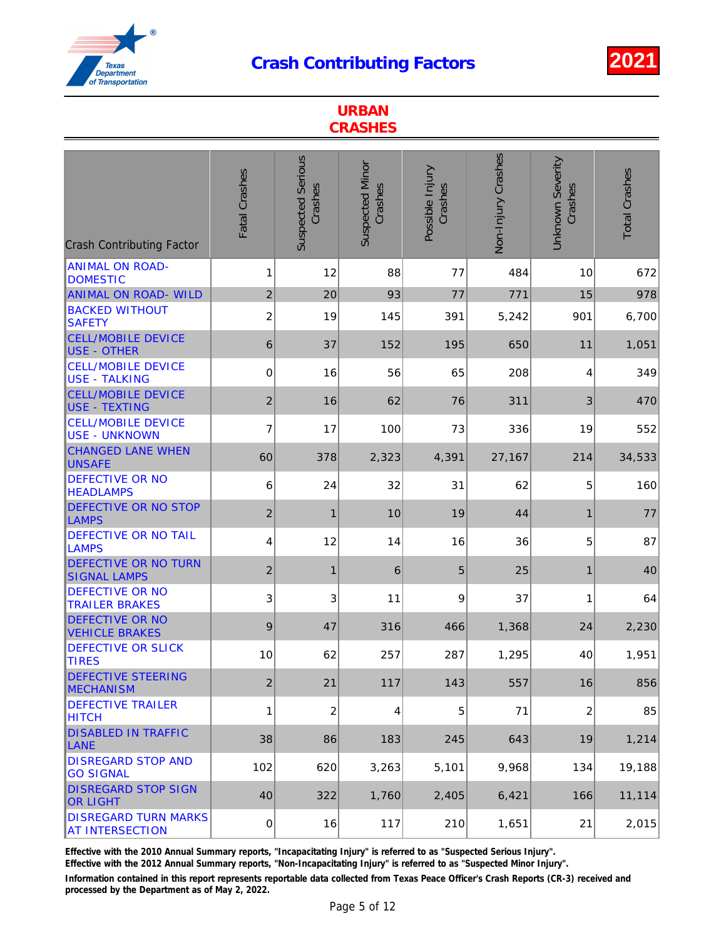

|                                                       | <b>URBAN</b><br><b>CRASHES</b> |                                     |                                   |                            |                    |                                    |                      |  |  |  |
|-------------------------------------------------------|--------------------------------|-------------------------------------|-----------------------------------|----------------------------|--------------------|------------------------------------|----------------------|--|--|--|
| <b>Crash Contributing Factor</b>                      | Fatal Crashes                  | <b>Suspected Serious</b><br>Crashes | <b>Suspected Minor</b><br>Crashes | Possible Injury<br>Crashes | Non-Injury Crashes | <b>Unknown Severity</b><br>Crashes | <b>Total Crashes</b> |  |  |  |
| <b>ANIMAL ON ROAD-</b><br><b>DOMESTIC</b>             | 1                              | 12                                  | 88                                | 77                         | 484                | 10                                 | 672                  |  |  |  |
| <b>ANIMAL ON ROAD- WILD</b>                           | $\overline{2}$                 | 20                                  | 93                                | 77                         | 771                | 15                                 | 978                  |  |  |  |
| <b>BACKED WITHOUT</b><br><b>SAFETY</b>                | $\overline{2}$                 | 19                                  | 145                               | 391                        | 5,242              | 901                                | 6,700                |  |  |  |
| <b>CELL/MOBILE DEVICE</b><br><b>USE - OTHER</b>       | 6                              | 37                                  | 152                               | 195                        | 650                | 11                                 | 1,051                |  |  |  |
| <b>CELL/MOBILE DEVICE</b><br><b>USE - TALKING</b>     | 0                              | 16                                  | 56                                | 65                         | 208                | 4                                  | 349                  |  |  |  |
| <b>CELL/MOBILE DEVICE</b><br><b>USE - TEXTING</b>     | $\overline{2}$                 | 16                                  | 62                                | 76                         | 311                | 3                                  | 470                  |  |  |  |
| <b>CELL/MOBILE DEVICE</b><br><b>USE - UNKNOWN</b>     | $\overline{7}$                 | 17                                  | 100                               | 73                         | 336                | 19                                 | 552                  |  |  |  |
| <b>CHANGED LANE WHEN</b><br><b>UNSAFE</b>             | 60                             | 378                                 | 2,323                             | 4,391                      | 27,167             | 214                                | 34,533               |  |  |  |
| <b>DEFECTIVE OR NO</b><br><b>HEADLAMPS</b>            | 6                              | 24                                  | 32                                | 31                         | 62                 | 5                                  | 160                  |  |  |  |
| <b>DEFECTIVE OR NO STOP</b><br>LAMPS                  | $\overline{2}$                 | $\mathbf{1}$                        | 10                                | 19                         | 44                 | $\mathbf{1}$                       | 77                   |  |  |  |
| <b>DEFECTIVE OR NO TAIL</b><br><b>LAMPS</b>           | 4                              | 12                                  | 14                                | 16                         | 36                 | 5                                  | 87                   |  |  |  |
| <b>DEFECTIVE OR NO TURN</b><br><b>SIGNAL LAMPS</b>    | $\overline{2}$                 | $\mathbf{1}$                        | 6                                 | 5                          | 25                 | 1                                  | 40                   |  |  |  |
| <b>DEFECTIVE OR NO</b><br><b>TRAILER BRAKES</b>       | 3                              | 3                                   | 11                                | 9                          | 37                 | 1                                  | 64                   |  |  |  |
| <b>DEFECTIVE OR NO</b><br>VEHICLE BRAKES              | 9                              | 47                                  | 316                               | 466                        | 1,368              | 24                                 | 2,230                |  |  |  |
| <b>DEFECTIVE OR SLICK</b><br><b>TIRES</b>             | 10                             | 62                                  | 257                               | 287                        | 1,295              | 40                                 | 1,951                |  |  |  |
| <b>DEFECTIVE STEERING</b><br><b>MECHANISM</b>         | $\overline{2}$                 | 21                                  | 117                               | 143                        | 557                | 16                                 | 856                  |  |  |  |
| <b>DEFECTIVE TRAILER</b><br><b>HITCH</b>              | 1                              | $\overline{c}$                      | 4                                 | 5                          | 71                 | $\overline{c}$                     | 85                   |  |  |  |
| <b>DISABLED IN TRAFFIC</b><br>LANE                    | 38                             | 86                                  | 183                               | 245                        | 643                | 19                                 | 1,214                |  |  |  |
| <b>DISREGARD STOP AND</b><br><b>GO SIGNAL</b>         | 102                            | 620                                 | 3,263                             | 5,101                      | 9,968              | 134                                | 19,188               |  |  |  |
| <b>DISREGARD STOP SIGN</b><br><b>OR LIGHT</b>         | 40                             | 322                                 | 1,760                             | 2,405                      | 6,421              | 166                                | 11,114               |  |  |  |
| <b>DISREGARD TURN MARKS</b><br><b>AT INTERSECTION</b> | $\pmb{0}$                      | 16                                  | 117                               | 210                        | 1,651              | 21                                 | 2,015                |  |  |  |

Effective with the 2010 Annual Summary reports, "Incapacitating Injury" is referred to as "Suspected Serious Injury".

Effective with the 2012 Annual Summary reports, "Non-Incapacitating Injury" is referred to as "Suspected Minor Injury".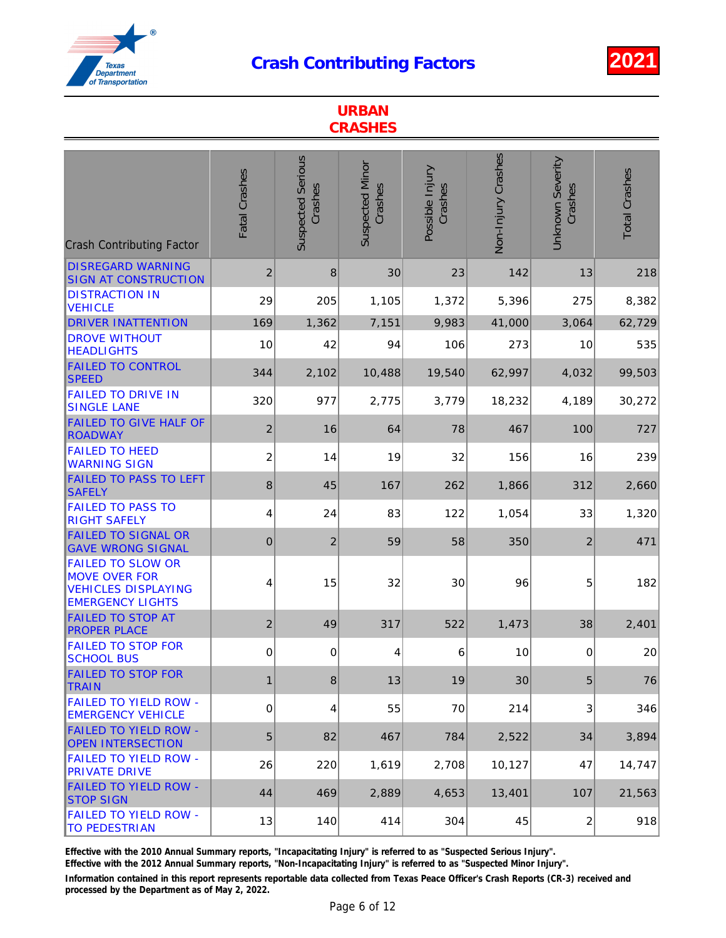

|                                                                                                           | <b>URBAN</b><br><b>CRASHES</b> |                                     |                                   |                            |                    |                                    |                      |  |  |  |
|-----------------------------------------------------------------------------------------------------------|--------------------------------|-------------------------------------|-----------------------------------|----------------------------|--------------------|------------------------------------|----------------------|--|--|--|
| <b>Crash Contributing Factor</b>                                                                          | Fatal Crashes                  | <b>Suspected Serious</b><br>Crashes | <b>Suspected Minor</b><br>Crashes | Possible Injury<br>Crashes | Non-Injury Crashes | <b>Unknown Severity</b><br>Crashes | <b>Total Crashes</b> |  |  |  |
| <b>DISREGARD WARNING</b><br><b>SIGN AT CONSTRUCTION</b>                                                   | $\overline{2}$                 | 8                                   | 30                                | 23                         | 142                | 13                                 | 218                  |  |  |  |
| <b>DISTRACTION IN</b><br><b>VEHICLE</b>                                                                   | 29                             | 205                                 | 1,105                             | 1,372                      | 5,396              | 275                                | 8,382                |  |  |  |
| <b>DRIVER INATTENTION</b>                                                                                 | 169                            | 1,362                               | 7,151                             | 9,983                      | 41,000             | 3,064                              | 62,729               |  |  |  |
| <b>DROVE WITHOUT</b><br><b>HEADLIGHTS</b>                                                                 | 10                             | 42                                  | 94                                | 106                        | 273                | 10                                 | 535                  |  |  |  |
| <b>FAILED TO CONTROL</b><br><b>SPEED</b>                                                                  | 344                            | 2,102                               | 10,488                            | 19,540                     | 62,997             | 4,032                              | 99,503               |  |  |  |
| <b>FAILED TO DRIVE IN</b><br><b>SINGLE LANE</b>                                                           | 320                            | 977                                 | 2,775                             | 3,779                      | 18,232             | 4,189                              | 30,272               |  |  |  |
| <b>FAILED TO GIVE HALF OF</b><br><b>ROADWAY</b>                                                           | $\overline{2}$                 | 16                                  | 64                                | 78                         | 467                | 100                                | 727                  |  |  |  |
| <b>FAILED TO HEED</b><br><b>WARNING SIGN</b>                                                              | $\overline{c}$                 | 14                                  | 19                                | 32                         | 156                | 16                                 | 239                  |  |  |  |
| <b>FAILED TO PASS TO LEFT</b><br><b>SAFELY</b>                                                            | 8                              | 45                                  | 167                               | 262                        | 1,866              | 312                                | 2,660                |  |  |  |
| <b>FAILED TO PASS TO</b><br><b>RIGHT SAFELY</b>                                                           | 4                              | 24                                  | 83                                | 122                        | 1,054              | 33                                 | 1,320                |  |  |  |
| <b>FAILED TO SIGNAL OR</b><br><b>GAVE WRONG SIGNAL</b>                                                    | $\mathbf 0$                    | $\overline{2}$                      | 59                                | 58                         | 350                | $\overline{2}$                     | 471                  |  |  |  |
| <b>FAILED TO SLOW OR</b><br><b>MOVE OVER FOR</b><br><b>VEHICLES DISPLAYING</b><br><b>EMERGENCY LIGHTS</b> | 4                              | 15                                  | 32                                | 30                         | 96                 | 5                                  | 182                  |  |  |  |
| <b>FAILED TO STOP AT</b><br><b>PROPER PLACE</b>                                                           | $\overline{c}$                 | 49                                  | 317                               | 522                        | 1,473              | 38                                 | 2,401                |  |  |  |
| <b>FAILED TO STOP FOR</b><br><b>SCHOOL BUS</b>                                                            | 0                              | 0                                   | 4                                 | 6                          | 10                 | 0                                  | 20                   |  |  |  |
| <b>FAILED TO STOP FOR</b><br><b>TRAIN</b>                                                                 | 1                              | 8                                   | 13                                | 19                         | 30                 | 5                                  | 76                   |  |  |  |
| <b>FAILED TO YIELD ROW -</b><br><b>EMERGENCY VEHICLE</b>                                                  | 0                              | 4                                   | 55                                | 70                         | 214                | 3                                  | 346                  |  |  |  |
| <b>FAILED TO YIELD ROW -</b><br><b>OPEN INTERSECTION</b>                                                  | 5                              | 82                                  | 467                               | 784                        | 2,522              | 34                                 | 3,894                |  |  |  |
| <b>FAILED TO YIELD ROW -</b><br><b>PRIVATE DRIVE</b>                                                      | 26                             | 220                                 | 1,619                             | 2,708                      | 10,127             | 47                                 | 14,747               |  |  |  |
| <b>FAILED TO YIELD ROW -</b><br><b>STOP SIGN</b>                                                          | 44                             | 469                                 | 2,889                             | 4,653                      | 13,401             | 107                                | 21,563               |  |  |  |
| <b>FAILED TO YIELD ROW -</b><br><b>TO PEDESTRIAN</b>                                                      | 13                             | 140                                 | 414                               | 304                        | 45                 | $\overline{c}$                     | 918                  |  |  |  |

Effective with the 2010 Annual Summary reports, "Incapacitating Injury" is referred to as "Suspected Serious Injury".

Effective with the 2012 Annual Summary reports, "Non-Incapacitating Injury" is referred to as "Suspected Minor Injury".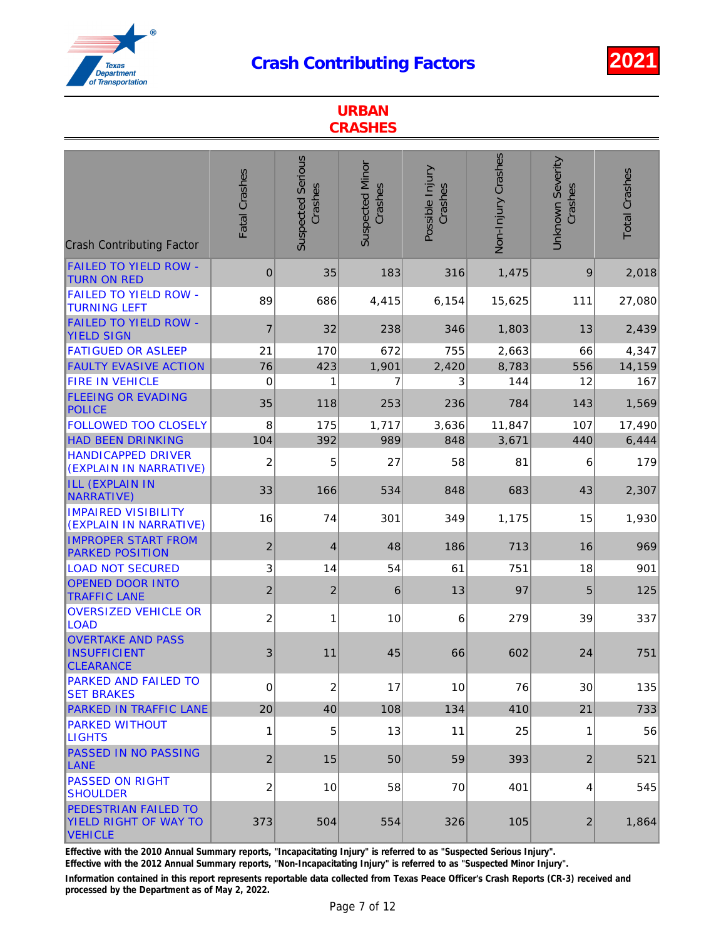

| <b>URBAN</b><br><b>CRASHES</b>                                                |                  |                                     |                                   |                            |                    |                                    |                      |  |  |
|-------------------------------------------------------------------------------|------------------|-------------------------------------|-----------------------------------|----------------------------|--------------------|------------------------------------|----------------------|--|--|
| <b>Crash Contributing Factor</b>                                              | Fatal Crashes    | <b>Suspected Serious</b><br>Crashes | <b>Suspected Minor</b><br>Crashes | Possible Injury<br>Crashes | Non-Injury Crashes | <b>Unknown Severity</b><br>Crashes | <b>Total Crashes</b> |  |  |
| <b>FAILED TO YIELD ROW -</b><br><b>TURN ON RED</b>                            | $\boldsymbol{0}$ | 35                                  | 183                               | 316                        | 1,475              | 9                                  | 2,018                |  |  |
| <b>FAILED TO YIELD ROW -</b><br><b>TURNING LEFT</b>                           | 89               | 686                                 | 4,415                             | 6,154                      | 15,625             | 111                                | 27,080               |  |  |
| <b>FAILED TO YIELD ROW -</b><br><b>YIELD SIGN</b>                             | $\overline{7}$   | 32                                  | 238                               | 346                        | 1,803              | 13                                 | 2,439                |  |  |
| <b>FATIGUED OR ASLEEP</b>                                                     | 21               | 170                                 | 672                               | 755                        | 2,663              | 66                                 | 4,347                |  |  |
| <b>FAULTY EVASIVE ACTION</b>                                                  | 76               | 423                                 | 1,901                             | 2,420                      | 8,783              | 556                                | 14,159               |  |  |
| <b>FIRE IN VEHICLE</b>                                                        | 0                | 1                                   | 7                                 | 3                          | 144                | 12                                 | 167                  |  |  |
| <b>FLEEING OR EVADING</b><br><b>POLICE</b>                                    | 35               | 118                                 | 253                               | 236                        | 784                | 143                                | 1,569                |  |  |
| <b>FOLLOWED TOO CLOSELY</b>                                                   | 8                | 175                                 | 1,717                             | 3,636                      | 11,847             | 107                                | 17,490               |  |  |
| <b>HAD BEEN DRINKING</b>                                                      | 104              | 392                                 | 989                               | 848                        | 3,671              | 440                                | 6,444                |  |  |
| <b>HANDICAPPED DRIVER</b><br>(EXPLAIN IN NARRATIVE)                           | $\overline{2}$   | 5                                   | 27                                | 58                         | 81                 | 6                                  | 179                  |  |  |
| <b>ILL (EXPLAIN IN</b><br>NARRATIVE)                                          | 33               | 166                                 | 534                               | 848                        | 683                | 43                                 | 2,307                |  |  |
| <b>IMPAIRED VISIBILITY</b><br>(EXPLAIN IN NARRATIVE)                          | 16               | 74                                  | 301                               | 349                        | 1,175              | 15                                 | 1,930                |  |  |
| <b>IMPROPER START FROM</b><br><b>PARKED POSITION</b>                          | $\overline{2}$   | $\overline{4}$                      | 48                                | 186                        | 713                | 16                                 | 969                  |  |  |
| <b>LOAD NOT SECURED</b>                                                       | 3                | 14                                  | 54                                | 61                         | 751                | 18                                 | 901                  |  |  |
| <b>OPENED DOOR INTO</b><br><b>TRAFFIC LANE</b>                                | $\overline{2}$   | $\overline{2}$                      | 6                                 | 13                         | 97                 | 5                                  | 125                  |  |  |
| <b>OVERSIZED VEHICLE OR</b><br><b>LOAD</b>                                    | $\overline{c}$   | 1                                   | 10                                | 6                          | 279                | 39                                 | 337                  |  |  |
| <b>OVERTAKE AND PASS</b><br><b>INSUFFICIENT</b><br><b>CLEARANCE</b>           | 3                | 11                                  | 45                                | 66                         | 602                | 24                                 | 751                  |  |  |
| <b>PARKED AND FAILED TO</b><br><b>SET BRAKES</b>                              | 0                | $\overline{2}$                      | 17                                | 10                         | 76                 | 30                                 | 135                  |  |  |
| <b>PARKED IN TRAFFIC LANE</b>                                                 | 20               | 40                                  | 108                               | 134                        | 410                | 21                                 | 733                  |  |  |
| <b>PARKED WITHOUT</b><br><b>LIGHTS</b>                                        | 1                | 5                                   | 13                                | 11                         | 25                 | 1                                  | 56                   |  |  |
| <b>PASSED IN NO PASSING</b><br><b>LANE</b>                                    | $\overline{2}$   | 15                                  | 50                                | 59                         | 393                | $\overline{2}$                     | 521                  |  |  |
| <b>PASSED ON RIGHT</b><br><b>SHOULDER</b>                                     | 2                | 10                                  | 58                                | 70                         | 401                | 4                                  | 545                  |  |  |
| <b>PEDESTRIAN FAILED TO</b><br><b>YIELD RIGHT OF WAY TO</b><br><b>VEHICLE</b> | 373              | 504                                 | 554                               | 326                        | 105                | 2                                  | 1,864                |  |  |

Effective with the 2010 Annual Summary reports, "Incapacitating Injury" is referred to as "Suspected Serious Injury".

Effective with the 2012 Annual Summary reports, "Non-Incapacitating Injury" is referred to as "Suspected Minor Injury".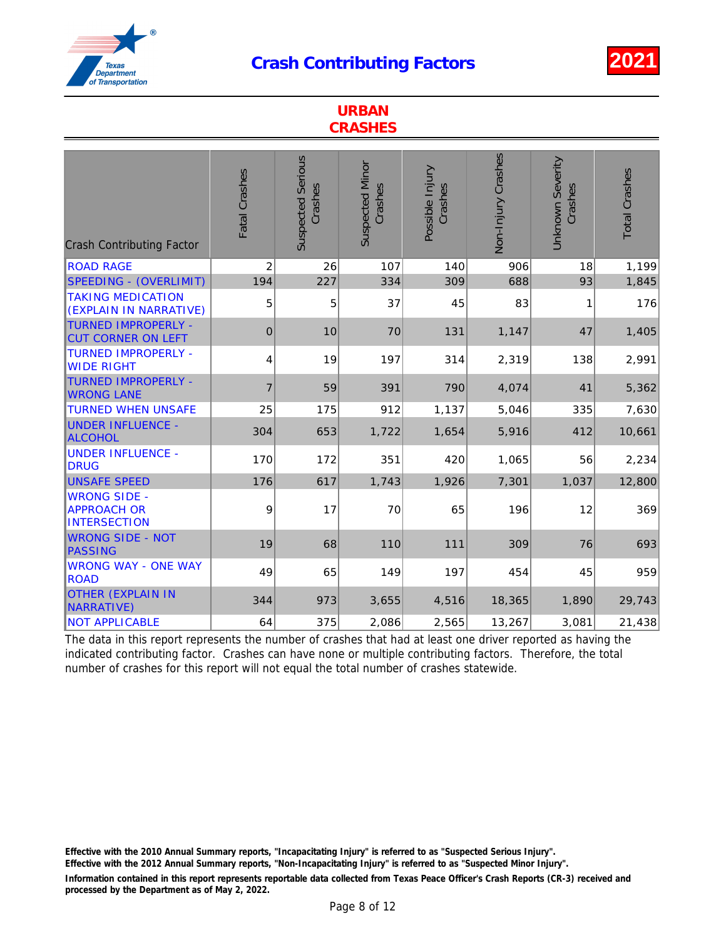

| <b>URBAN</b><br><b>CRASHES</b>                                                      |                |                                     |                                   |                            |                    |                                    |                      |  |  |
|-------------------------------------------------------------------------------------|----------------|-------------------------------------|-----------------------------------|----------------------------|--------------------|------------------------------------|----------------------|--|--|
| <b>Crash Contributing Factor</b>                                                    | Fatal Crashes  | <b>Suspected Serious</b><br>Crashes | <b>Suspected Minor</b><br>Crashes | Possible Injury<br>Crashes | Non-Injury Crashes | <b>Unknown Severity</b><br>Crashes | <b>Total Crashes</b> |  |  |
| <b>ROAD RAGE</b>                                                                    | $\overline{2}$ | 26                                  | 107                               | 140                        | 906                | 18                                 | 1,199                |  |  |
| <b>SPEEDING - (OVERLIMIT)</b><br><b>TAKING MEDICATION</b><br>(EXPLAIN IN NARRATIVE) | 194<br>5       | 227<br>5                            | 334<br>37                         | 309<br>45                  | 688<br>83          | 93<br>1                            | 1,845<br>176         |  |  |
| <b>TURNED IMPROPERLY -</b><br><b>CUT CORNER ON LEFT</b>                             | $\Omega$       | 10                                  | 70                                | 131                        | 1,147              | 47                                 | 1,405                |  |  |
| <b>TURNED IMPROPERLY -</b><br><b>WIDE RIGHT</b>                                     | 4              | 19                                  | 197                               | 314                        | 2,319              | 138                                | 2,991                |  |  |
| <b>TURNED IMPROPERLY -</b><br><b>WRONG LANE</b>                                     | $\overline{7}$ | 59                                  | 391                               | 790                        | 4,074              | 41                                 | 5,362                |  |  |
| <b>TURNED WHEN UNSAFE</b>                                                           | 25             | 175                                 | 912                               | 1,137                      | 5,046              | 335                                | 7,630                |  |  |
| <b>UNDER INFLUENCE -</b><br><b>ALCOHOL</b>                                          | 304            | 653                                 | 1,722                             | 1,654                      | 5,916              | 412                                | 10,661               |  |  |
| <b>UNDER INFLUENCE -</b><br><b>DRUG</b>                                             | 170            | 172                                 | 351                               | 420                        | 1,065              | 56                                 | 2,234                |  |  |
| <b>UNSAFE SPEED</b>                                                                 | 176            | 617                                 | 1,743                             | 1,926                      | 7,301              | 1,037                              | 12,800               |  |  |
| <b>WRONG SIDE -</b><br><b>APPROACH OR</b><br><b>INTERSECTION</b>                    | 9              | 17                                  | 70                                | 65                         | 196                | 12                                 | 369                  |  |  |
| <b>WRONG SIDE - NOT</b><br><b>PASSING</b>                                           | 19             | 68                                  | 110                               | 111                        | 309                | 76                                 | 693                  |  |  |
| <b>WRONG WAY - ONE WAY</b><br><b>ROAD</b>                                           | 49             | 65                                  | 149                               | 197                        | 454                | 45                                 | 959                  |  |  |
| <b>OTHER (EXPLAIN IN</b><br><b>NARRATIVE)</b>                                       | 344            | 973                                 | 3,655                             | 4,516                      | 18,365             | 1,890                              | 29,743               |  |  |
| <b>NOT APPLICABLE</b>                                                               | 64             | 375                                 | 2,086                             | 2,565                      | 13,267             | 3,081                              | 21,438               |  |  |

The data in this report represents the number of crashes that had at least one driver reported as having the indicated contributing factor. Crashes can have none or multiple contributing factors. Therefore, the total number of crashes for this report will not equal the total number of crashes statewide.

Effective with the 2010 Annual Summary reports, "Incapacitating Injury" is referred to as "Suspected Serious Injury".

Effective with the 2012 Annual Summary reports, "Non-Incapacitating Injury" is referred to as "Suspected Minor Injury".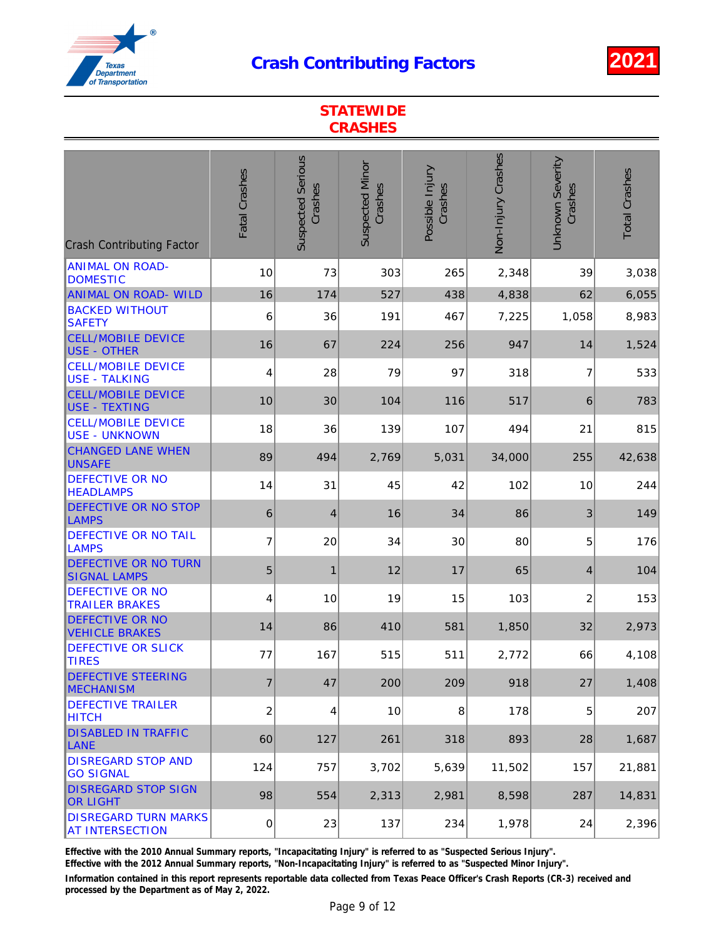

| <b>STATEWIDE</b><br><b>CRASHES</b>                                       |                |                                     |                                   |                            |                    |                                    |                      |  |  |
|--------------------------------------------------------------------------|----------------|-------------------------------------|-----------------------------------|----------------------------|--------------------|------------------------------------|----------------------|--|--|
| <b>Crash Contributing Factor</b>                                         | Fatal Crashes  | <b>Suspected Serious</b><br>Crashes | <b>Suspected Minor</b><br>Crashes | Possible Injury<br>Crashes | Non-Injury Crashes | <b>Unknown Severity</b><br>Crashes | <b>Total Crashes</b> |  |  |
| <b>ANIMAL ON ROAD-</b><br><b>DOMESTIC</b><br><b>ANIMAL ON ROAD- WILD</b> | 10<br>16       | 73<br>174                           | 303<br>527                        | 265<br>438                 | 2,348<br>4,838     | 39<br>62                           | 3,038<br>6,055       |  |  |
| <b>BACKED WITHOUT</b><br><b>SAFETY</b>                                   | 6              | 36                                  | 191                               | 467                        | 7,225              | 1,058                              | 8,983                |  |  |
| <b>CELL/MOBILE DEVICE</b><br><b>USE - OTHER</b>                          | 16             | 67                                  | 224                               | 256                        | 947                | 14                                 | 1,524                |  |  |
| <b>CELL/MOBILE DEVICE</b><br><b>USE - TALKING</b>                        | 4              | 28                                  | 79                                | 97                         | 318                | 7                                  | 533                  |  |  |
| <b>CELL/MOBILE DEVICE</b><br><b>USE - TEXTING</b>                        | 10             | 30                                  | 104                               | 116                        | 517                | $6\phantom{1}$                     | 783                  |  |  |
| <b>CELL/MOBILE DEVICE</b><br><b>USE - UNKNOWN</b>                        | 18             | 36                                  | 139                               | 107                        | 494                | 21                                 | 815                  |  |  |
| <b>CHANGED LANE WHEN</b><br><b>UNSAFE</b>                                | 89             | 494                                 | 2,769                             | 5,031                      | 34,000             | 255                                | 42,638               |  |  |
| <b>DEFECTIVE OR NO</b><br><b>HEADLAMPS</b>                               | 14             | 31                                  | 45                                | 42                         | 102                | 10                                 | 244                  |  |  |
| <b>DEFECTIVE OR NO STOP</b><br>LAMPS                                     | 6              | 4                                   | 16                                | 34                         | 86                 | 3                                  | 149                  |  |  |
| <b>DEFECTIVE OR NO TAIL</b><br><b>LAMPS</b>                              | 7              | 20                                  | 34                                | 30                         | 80                 | 5                                  | 176                  |  |  |
| <b>DEFECTIVE OR NO TURN</b><br><b>SIGNAL LAMPS</b>                       | 5              | $\mathbf{1}$                        | 12                                | 17                         | 65                 | $\overline{4}$                     | 104                  |  |  |
| <b>DEFECTIVE OR NO</b><br><b>TRAILER BRAKES</b>                          | 4              | 10                                  | 19                                | 15                         | 103                | $\overline{2}$                     | 153                  |  |  |
| <b>DEFECTIVE OR NO</b><br><b>VEHICLE BRAKES</b>                          | 14             | 86                                  | 410                               | 581                        | 1,850              | 32                                 | 2,973                |  |  |
| <b>DEFECTIVE OR SLICK</b><br><b>TIRES</b>                                | 77             | 167                                 | 515                               | 511                        | 2,772              | 66                                 | 4,108                |  |  |
| <b>DEFECTIVE STEERING</b><br><b>MECHANISM</b>                            | $\overline{7}$ | 47                                  | 200                               | 209                        | 918                | 27                                 | 1,408                |  |  |
| <b>DEFECTIVE TRAILER</b><br><b>HITCH</b>                                 | 2              | 4                                   | 10                                | 8                          | 178                | 5                                  | 207                  |  |  |
| <b>DISABLED IN TRAFFIC</b><br><b>LANE</b>                                | 60             | 127                                 | 261                               | 318                        | 893                | 28                                 | 1,687                |  |  |
| <b>DISREGARD STOP AND</b><br><b>GO SIGNAL</b>                            | 124            | 757                                 | 3,702                             | 5,639                      | 11,502             | 157                                | 21,881               |  |  |
| <b>DISREGARD STOP SIGN</b><br><b>OR LIGHT</b>                            | 98             | 554                                 | 2,313                             | 2,981                      | 8,598              | 287                                | 14,831               |  |  |
| <b>DISREGARD TURN MARKS</b><br><b>AT INTERSECTION</b>                    | 0              | 23                                  | 137                               | 234                        | 1,978              | 24                                 | 2,396                |  |  |

Effective with the 2010 Annual Summary reports, "Incapacitating Injury" is referred to as "Suspected Serious Injury".

Effective with the 2012 Annual Summary reports, "Non-Incapacitating Injury" is referred to as "Suspected Minor Injury".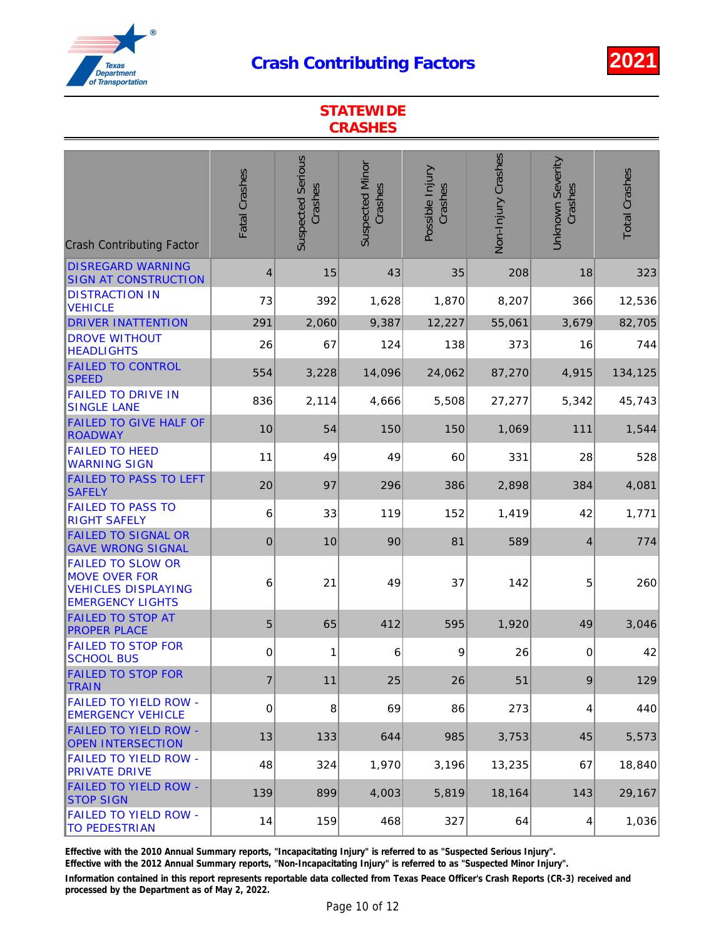

|                                                                                                           | <b>STATEWIDE</b><br><b>CRASHES</b> |                                     |                                   |                            |                    |                                    |                      |  |  |  |
|-----------------------------------------------------------------------------------------------------------|------------------------------------|-------------------------------------|-----------------------------------|----------------------------|--------------------|------------------------------------|----------------------|--|--|--|
| <b>Crash Contributing Factor</b>                                                                          | Fatal Crashes                      | <b>Suspected Serious</b><br>Crashes | <b>Suspected Minor</b><br>Crashes | Possible Injury<br>Crashes | Non-Injury Crashes | <b>Unknown Severity</b><br>Crashes | <b>Total Crashes</b> |  |  |  |
| <b>DISREGARD WARNING</b><br><b>SIGN AT CONSTRUCTION</b>                                                   | 4                                  | 15                                  | 43                                | 35                         | 208                | 18                                 | 323                  |  |  |  |
| <b>DISTRACTION IN</b><br><b>VEHICLE</b>                                                                   | 73                                 | 392                                 | 1,628                             | 1,870                      | 8,207              | 366                                | 12,536               |  |  |  |
| <b>DRIVER INATTENTION</b>                                                                                 | 291                                | 2,060                               | 9,387                             | 12,227                     | 55,061             | 3,679                              | 82,705               |  |  |  |
| <b>DROVE WITHOUT</b><br><b>HEADLIGHTS</b>                                                                 | 26                                 | 67                                  | 124                               | 138                        | 373                | 16                                 | 744                  |  |  |  |
| <b>FAILED TO CONTROL</b><br><b>SPEED</b>                                                                  | 554                                | 3,228                               | 14,096                            | 24,062                     | 87,270             | 4,915                              | 134,125              |  |  |  |
| <b>FAILED TO DRIVE IN</b><br><b>SINGLE LANE</b>                                                           | 836                                | 2,114                               | 4,666                             | 5,508                      | 27,277             | 5,342                              | 45,743               |  |  |  |
| <b>FAILED TO GIVE HALF OF</b><br><b>ROADWAY</b>                                                           | 10                                 | 54                                  | 150                               | 150                        | 1,069              | 111                                | 1,544                |  |  |  |
| <b>FAILED TO HEED</b><br><b>WARNING SIGN</b>                                                              | 11                                 | 49                                  | 49                                | 60                         | 331                | 28                                 | 528                  |  |  |  |
| <b>FAILED TO PASS TO LEFT</b><br><b>SAFELY</b>                                                            | 20                                 | 97                                  | 296                               | 386                        | 2,898              | 384                                | 4,081                |  |  |  |
| <b>FAILED TO PASS TO</b><br><b>RIGHT SAFELY</b>                                                           | 6                                  | 33                                  | 119                               | 152                        | 1,419              | 42                                 | 1,771                |  |  |  |
| <b>FAILED TO SIGNAL OR</b><br><b>GAVE WRONG SIGNAL</b>                                                    | $\overline{0}$                     | 10                                  | 90                                | 81                         | 589                | 4                                  | 774                  |  |  |  |
| <b>FAILED TO SLOW OR</b><br><b>MOVE OVER FOR</b><br><b>VEHICLES DISPLAYING</b><br><b>EMERGENCY LIGHTS</b> | 6                                  | 21                                  | 49                                | 37                         | 142                | 5                                  | 260                  |  |  |  |
| <b>FAILED TO STOP AT</b><br><b>PROPER PLACE</b>                                                           | 5                                  | 65                                  | 412                               | 595                        | 1,920              | 49                                 | 3,046                |  |  |  |
| <b>FAILED TO STOP FOR</b><br><b>SCHOOL BUS</b>                                                            | 0                                  | 1                                   | 6                                 | 9                          | 26                 | 0                                  | 42                   |  |  |  |
| <b>FAILED TO STOP FOR</b><br><b>TRAIN</b>                                                                 | $\overline{7}$                     | 11                                  | 25                                | 26                         | 51                 | 9                                  | 129                  |  |  |  |
| <b>FAILED TO YIELD ROW -</b><br><b>EMERGENCY VEHICLE</b>                                                  | 0                                  | 8                                   | 69                                | 86                         | 273                | 4                                  | 440                  |  |  |  |
| <b>FAILED TO YIELD ROW -</b><br><b>OPEN INTERSECTION</b>                                                  | 13                                 | 133                                 | 644                               | 985                        | 3,753              | 45                                 | 5,573                |  |  |  |
| <b>FAILED TO YIELD ROW -</b><br><b>PRIVATE DRIVE</b>                                                      | 48                                 | 324                                 | 1,970                             | 3,196                      | 13,235             | 67                                 | 18,840               |  |  |  |
| <b>FAILED TO YIELD ROW -</b><br><b>STOP SIGN</b>                                                          | 139                                | 899                                 | 4,003                             | 5,819                      | 18,164             | 143                                | 29,167               |  |  |  |
| <b>FAILED TO YIELD ROW -</b><br><b>TO PEDESTRIAN</b>                                                      | 14                                 | 159                                 | 468                               | 327                        | 64                 | 4                                  | 1,036                |  |  |  |

Effective with the 2010 Annual Summary reports, "Incapacitating Injury" is referred to as "Suspected Serious Injury".

Effective with the 2012 Annual Summary reports, "Non-Incapacitating Injury" is referred to as "Suspected Minor Injury".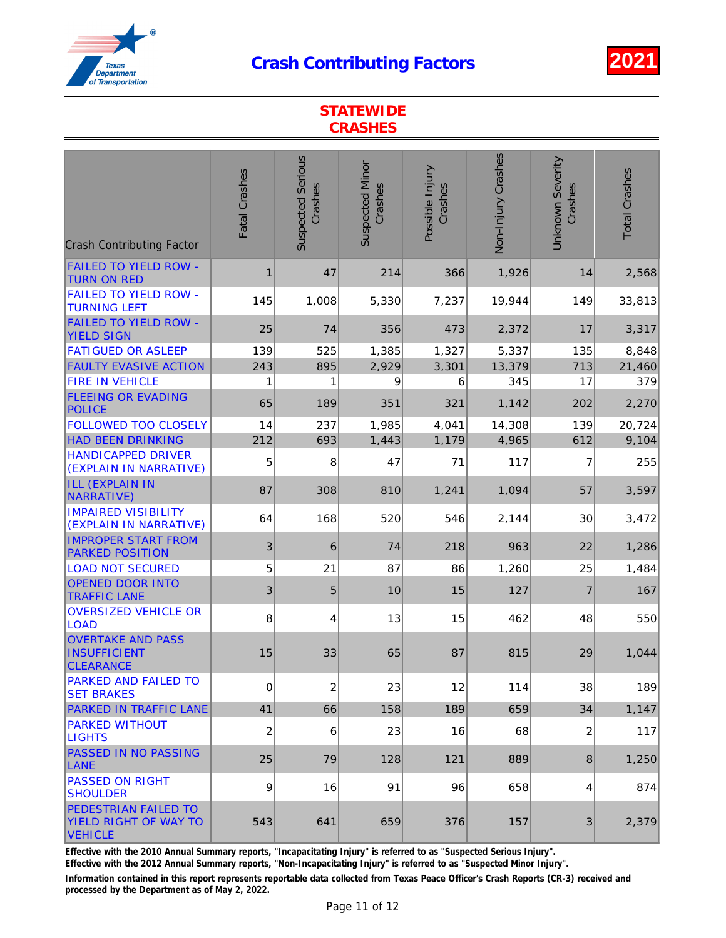

| <b>STATEWIDE</b><br><b>CRASHES</b>                              |               |                                     |                                   |                            |                    |                                    |                      |  |  |
|-----------------------------------------------------------------|---------------|-------------------------------------|-----------------------------------|----------------------------|--------------------|------------------------------------|----------------------|--|--|
| <b>Crash Contributing Factor</b>                                | Fatal Crashes | <b>Suspected Serious</b><br>Crashes | <b>Suspected Minor</b><br>Crashes | Possible Injury<br>Crashes | Non-Injury Crashes | <b>Unknown Severity</b><br>Crashes | <b>Total Crashes</b> |  |  |
| <b>FAILED TO YIELD ROW -</b><br><b>TURN ON RED</b>              | 1             | 47                                  | 214                               | 366                        | 1,926              | 14                                 | 2,568                |  |  |
| <b>FAILED TO YIELD ROW -</b><br><b>TURNING LEFT</b>             | 145           | 1,008                               | 5,330                             | 7,237                      | 19,944             | 149                                | 33,813               |  |  |
| <b>FAILED TO YIELD ROW -</b><br><b>YIELD SIGN</b>               | 25            | 74                                  | 356                               | 473                        | 2,372              | 17                                 | 3,317                |  |  |
| <b>FATIGUED OR ASLEEP</b>                                       | 139           | 525                                 | 1,385                             | 1,327                      | 5,337              | 135                                | 8,848                |  |  |
| <b>FAULTY EVASIVE ACTION</b>                                    | 243           | 895                                 | 2,929                             | 3,301                      | 13,379             | 713                                | 21,460               |  |  |
| <b>FIRE IN VEHICLE</b>                                          | 1             | 1                                   | 9                                 | 6                          | 345                | 17                                 | 379                  |  |  |
| <b>FLEEING OR EVADING</b><br><b>POLICE</b>                      | 65            | 189                                 | 351                               | 321                        | 1,142              | 202                                | 2,270                |  |  |
| <b>FOLLOWED TOO CLOSELY</b>                                     | 14            | 237                                 | 1,985                             | 4,041                      | 14,308             | 139                                | 20,724               |  |  |
| <b>HAD BEEN DRINKING</b>                                        | 212           | 693                                 | 1,443                             | 1,179                      | 4,965              | 612                                | 9,104                |  |  |
| <b>HANDICAPPED DRIVER</b><br>(EXPLAIN IN NARRATIVE)             | 5             | 8                                   | 47                                | 71                         | 117                | 7                                  | 255                  |  |  |
| ILL (EXPLAIN IN<br>NARRATIVE)                                   | 87            | 308                                 | 810                               | 1,241                      | 1,094              | 57                                 | 3,597                |  |  |
| <b>IMPAIRED VISIBILITY</b><br>(EXPLAIN IN NARRATIVE)            | 64            | 168                                 | 520                               | 546                        | 2,144              | 30                                 | 3,472                |  |  |
| <b>IMPROPER START FROM</b><br><b>PARKED POSITION</b>            | 3             | 6                                   | 74                                | 218                        | 963                | 22                                 | 1,286                |  |  |
| <b>LOAD NOT SECURED</b>                                         | 5             | 21                                  | 87                                | 86                         | 1,260              | 25                                 | 1,484                |  |  |
| <b>OPENED DOOR INTO</b><br><b>TRAFFIC LANE</b>                  | 3             | 5                                   | 10                                | 15                         | 127                | $\overline{7}$                     | 167                  |  |  |
| <b>OVERSIZED VEHICLE OR</b><br><b>LOAD</b>                      | 8             | 4                                   | 13                                | 15                         | 462                | 48                                 | 550                  |  |  |
| <b>OVERTAKE AND PASS</b><br>INSUFFICIENT<br><b>CLEARANCE</b>    | 15            | 33                                  | 65                                | 87                         | 815                | 29                                 | 1,044                |  |  |
| <b>PARKED AND FAILED TO</b><br><b>SET BRAKES</b>                | 0             | 2                                   | 23                                | 12                         | 114                | 38                                 | 189                  |  |  |
| <b>PARKED IN TRAFFIC LANE</b>                                   | 41            | 66                                  | 158                               | 189                        | 659                | 34                                 | 1,147                |  |  |
| <b>PARKED WITHOUT</b><br><b>LIGHTS</b>                          | 2             | 6                                   | 23                                | 16                         | 68                 | 2                                  | 117                  |  |  |
| <b>PASSED IN NO PASSING</b><br><b>LANE</b>                      | 25            | 79                                  | 128                               | 121                        | 889                | 8                                  | 1,250                |  |  |
| <b>PASSED ON RIGHT</b><br><b>SHOULDER</b>                       | 9             | 16                                  | 91                                | 96                         | 658                | 4                                  | 874                  |  |  |
| <b>PEDESTRIAN FAILED TO</b><br>YIELD RIGHT OF WAY TO<br>VEHICLE | 543           | 641                                 | 659                               | 376                        | 157                | 3                                  | 2,379                |  |  |

Effective with the 2010 Annual Summary reports, "Incapacitating Injury" is referred to as "Suspected Serious Injury".

Effective with the 2012 Annual Summary reports, "Non-Incapacitating Injury" is referred to as "Suspected Minor Injury".